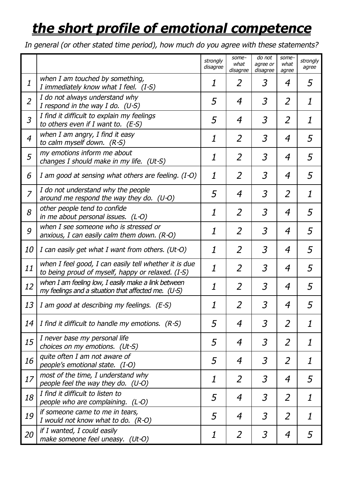## *the short profile of emotional competence*

*In general (or other stated time period), how much do you agree with these statements?*

|                  |                                                                                                            | strongly<br>disagree      | some-<br>what<br>disagree | do not<br>agree or<br>disagree | some-<br>what<br>agree | strongly<br>agree |
|------------------|------------------------------------------------------------------------------------------------------------|---------------------------|---------------------------|--------------------------------|------------------------|-------------------|
| $\boldsymbol{1}$ | when I am touched by something,<br>I immediately know what I feel. (I-S)                                   | 1                         | 2                         | 3                              | 4                      | 5                 |
| $\overline{2}$   | I do not always understand why<br>I respond in the way I do. $(U-S)$                                       | 5                         | $\overline{4}$            | $\overline{3}$                 | $\overline{2}$         | 1                 |
| $\overline{3}$   | I find it difficult to explain my feelings<br>to others even if I want to. $(E-S)$                         | 5                         | 4                         | $\overline{3}$                 | $\overline{2}$         | $\boldsymbol{1}$  |
| $\overline{4}$   | when $I$ am angry, $I$ find it easy<br>to calm myself down. $(R-S)$                                        | 1                         | $\overline{2}$            | $\overline{3}$                 | 4                      | 5                 |
| 5                | my emotions inform me about<br>changes I should make in my life. (Ut-S)                                    | 1                         | $\overline{2}$            | $\overline{3}$                 | $\boldsymbol{4}$       | 5                 |
| 6                | I am good at sensing what others are feeling. (I-O)                                                        | $\boldsymbol{\mathit{1}}$ | $\overline{2}$            | $\overline{3}$                 | $\boldsymbol{4}$       | 5                 |
| $\overline{7}$   | I do not understand why the people<br>around me respond the way they do. $(U-O)$                           | 5                         | 4                         | $\overline{3}$                 | $\overline{2}$         | 1                 |
| 8                | other people tend to confide<br>in me about personal issues. (L-O)                                         | 1                         | $\overline{2}$            | $\overline{3}$                 | $\boldsymbol{4}$       | 5                 |
| 9                | when I see someone who is stressed or<br>anxious, I can easily calm them down. $(R-O)$                     | 1                         | $\overline{2}$            | $\overline{3}$                 | 4                      | 5                 |
| <i>10</i>        | I can easily get what I want from others. (Ut-O)                                                           | 1                         | $\overline{2}$            | $\overline{3}$                 | 4                      | 5                 |
| 11               | when I feel good, I can easily tell whether it is due<br>to being proud of myself, happy or relaxed. (I-S) | 1                         | $\overline{2}$            | $\overline{3}$                 | $\boldsymbol{4}$       | 5                 |
| 12               | when I am feeling low, I easily make a link between<br>my feelings and a situation that affected me. (U-S) | 1                         | $\overline{2}$            | $\overline{3}$                 | 4                      | 5                 |
| 13               | I am good at describing my feelings. (E-S)                                                                 | 1                         | 2                         | 3                              | 4                      | 5                 |
| 14               | I find it difficult to handle my emotions. $(R-S)$                                                         | 5                         | 4                         | $\overline{3}$                 | $\overline{2}$         | 1                 |
| 15               | I never base my personal life<br>choices on my emotions. (Ut-S)                                            | 5                         | 4                         | $\overline{3}$                 | $\overline{2}$         | 1                 |
| 16               | quite often I am not aware of<br>people's emotional state. (I-O)                                           | 5                         | 4                         | $\mathfrak{Z}$                 | $\overline{2}$         | $\boldsymbol{1}$  |
| 17               | most of the time, I understand why<br>people feel the way they do. (U-O)                                   | 1                         | $\overline{2}$            | $\overline{3}$                 | $\boldsymbol{4}$       | 5                 |
| 18               | I find it difficult to listen to<br>people who are complaining. (L-O)                                      | 5                         | 4                         | $\overline{3}$                 | $\overline{2}$         | 1                 |
| 19               | if someone came to me in tears,<br>I would not know what to do. $(R-O)$                                    | 5                         | $\overline{4}$            | $\overline{3}$                 | $\overline{2}$         | 1                 |
| 20               | if I wanted, I could easily<br>make someone feel uneasy. (Ut-O)                                            | 1                         | $\overline{2}$            | $\mathfrak{Z}$                 | $\boldsymbol{4}$       | 5                 |